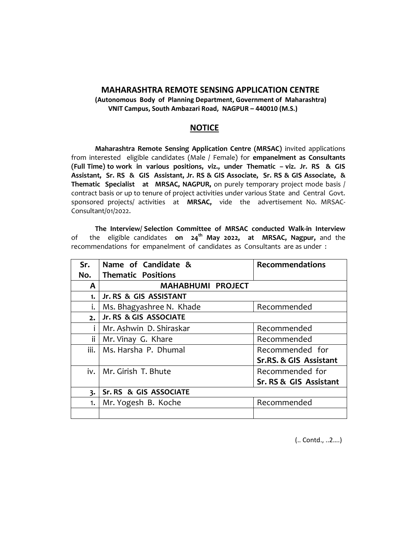## **MAHARASHTRA REMOTE SENSING APPLICATION CENTRE**

**(Autonomous Body of Planning Department, Government of Maharashtra) VNIT Campus, South Ambazari Road, NAGPUR – 440010 (M.S.)**

## **NOTICE**

**Maharashtra Remote Sensing Application Centre (MRSAC)** invited applications from interested eligible candidates (Male / Female) for **empanelment as Consultants (Full Time) to work in various positions, viz., under Thematic – viz. Jr. RS & GIS Assistant, Sr. RS & GIS Assistant, Jr. RS & GIS Associate, Sr. RS & GIS Associate, & Thematic Specialist at MRSAC, NAGPUR,** on purely temporary project mode basis / contract basis or up to tenure of project activities under various State and Central Govt. sponsored projects/ activities at **MRSAC,** vide the advertisement No. MRSAC-Consultant/01/2022.

**The Interview/ Selection Committee of MRSAC conducted Walk-in Interview** of the eligible candidates **on 24th May 2022, at MRSAC, Nagpur,** and the recommendations for empanelment of candidates as Consultants are as under :

| Sr.                     | Name of Candidate &       | <b>Recommendations</b> |
|-------------------------|---------------------------|------------------------|
| No.                     | <b>Thematic Positions</b> |                        |
| A                       | <b>MAHABHUMI PROJECT</b>  |                        |
| 1.                      | Jr. RS & GIS ASSISTANT    |                        |
| i.                      | Ms. Bhagyashree N. Khade  | Recommended            |
| 2.                      | Jr. RS & GIS ASSOCIATE    |                        |
| i                       | Mr. Ashwin D. Shiraskar   | Recommended            |
| ii                      | Mr. Vinay G. Khare        | Recommended            |
| iii.                    | Ms. Harsha P. Dhumal      | Recommended for        |
|                         |                           | Sr.RS. & GIS Assistant |
|                         | iv.   Mr. Girish T. Bhute | Recommended for        |
|                         |                           | Sr. RS & GIS Assistant |
| $\overline{\mathbf{3}}$ | Sr. RS & GIS ASSOCIATE    |                        |
| 1.                      | Mr. Yogesh B. Koche       | Recommended            |
|                         |                           |                        |

(.. Contd., ..2….)